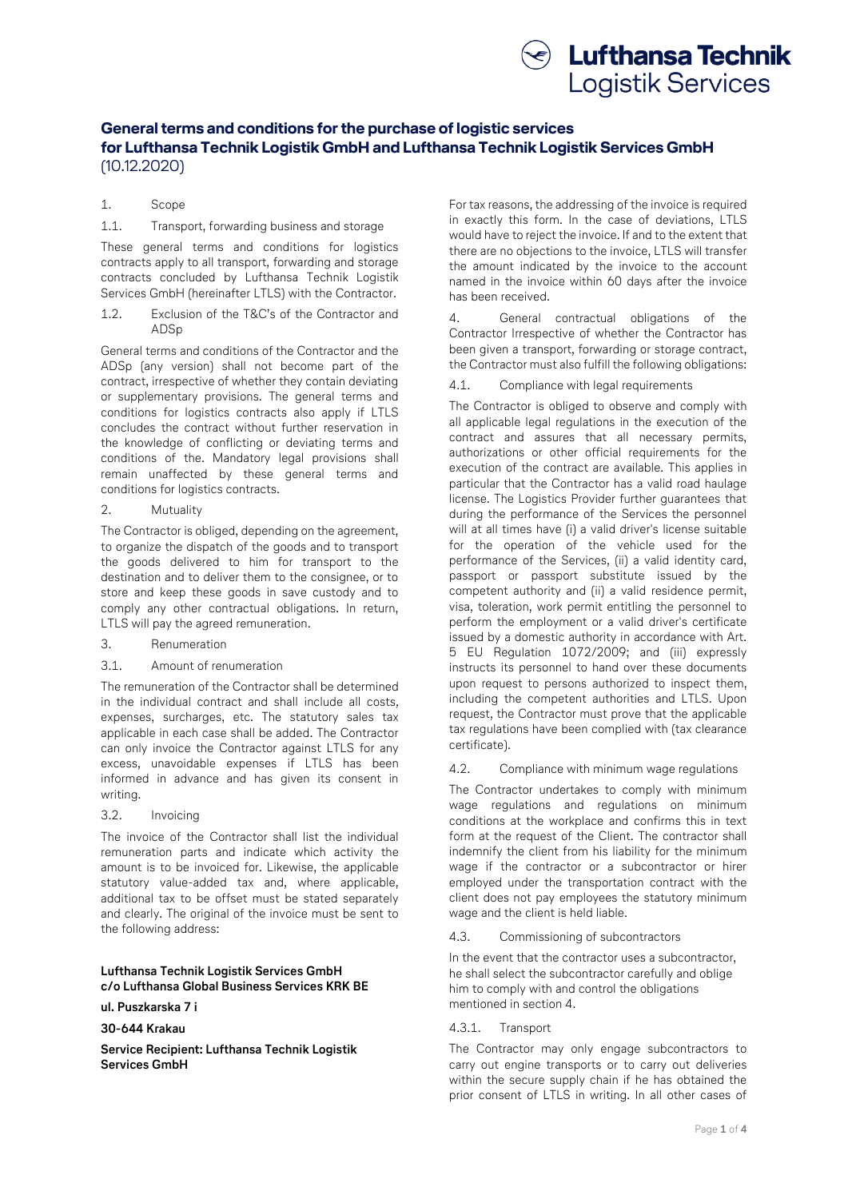

# **General terms and conditions for the purchase of logistic services for Lufthansa Technik Logistik GmbH and Lufthansa Technik Logistik Services GmbH** (10.12.2020)

# 1. Scope

# 1.1. Transport, forwarding business and storage

These general terms and conditions for logistics contracts apply to all transport, forwarding and storage contracts concluded by Lufthansa Technik Logistik Services GmbH (hereinafter LTLS) with the Contractor.

1.2. Exclusion of the T&C's of the Contractor and ADSp

General terms and conditions of the Contractor and the ADSp (any version) shall not become part of the contract, irrespective of whether they contain deviating or supplementary provisions. The general terms and conditions for logistics contracts also apply if LTLS concludes the contract without further reservation in the knowledge of conflicting or deviating terms and conditions of the. Mandatory legal provisions shall remain unaffected by these general terms and conditions for logistics contracts.

2. Mutuality

The Contractor is obliged, depending on the agreement, to organize the dispatch of the goods and to transport the goods delivered to him for transport to the destination and to deliver them to the consignee, or to store and keep these goods in save custody and to comply any other contractual obligations. In return, LTLS will pay the agreed remuneration.

- 3. Renumeration
- 3.1. Amount of renumeration

The remuneration of the Contractor shall be determined in the individual contract and shall include all costs, expenses, surcharges, etc. The statutory sales tax applicable in each case shall be added. The Contractor can only invoice the Contractor against LTLS for any excess, unavoidable expenses if LTLS has been informed in advance and has given its consent in writing.

3.2. Invoicing

The invoice of the Contractor shall list the individual remuneration parts and indicate which activity the amount is to be invoiced for. Likewise, the applicable statutory value-added tax and, where applicable, additional tax to be offset must be stated separately and clearly. The original of the invoice must be sent to the following address:

# **Lufthansa Technik Logistik Services GmbH c/o Lufthansa Global Business Services KRK BE**

# **ul. Puszkarska 7 i**

# **30-644 Krakau**

**Service Recipient: Lufthansa Technik Logistik Services GmbH**

For tax reasons, the addressing of the invoice is required in exactly this form. In the case of deviations, LTLS would have to reject the invoice. If and to the extent that there are no objections to the invoice, LTLS will transfer the amount indicated by the invoice to the account named in the invoice within 60 days after the invoice has been received.

4. General contractual obligations of the Contractor Irrespective of whether the Contractor has been given a transport, forwarding or storage contract, the Contractor must also fulfill the following obligations:

4.1. Compliance with legal requirements

The Contractor is obliged to observe and comply with all applicable legal regulations in the execution of the contract and assures that all necessary permits, authorizations or other official requirements for the execution of the contract are available. This applies in particular that the Contractor has a valid road haulage license. The Logistics Provider further guarantees that during the performance of the Services the personnel will at all times have (i) a valid driver's license suitable for the operation of the vehicle used for the performance of the Services, (ii) a valid identity card, passport or passport substitute issued by the competent authority and (ii) a valid residence permit, visa, toleration, work permit entitling the personnel to perform the employment or a valid driver's certificate issued by a domestic authority in accordance with Art. 5 EU Regulation 1072/2009; and (iii) expressly instructs its personnel to hand over these documents upon request to persons authorized to inspect them, including the competent authorities and LTLS. Upon request, the Contractor must prove that the applicable tax regulations have been complied with (tax clearance certificate).

4.2. Compliance with minimum wage regulations

The Contractor undertakes to comply with minimum wage regulations and regulations on minimum conditions at the workplace and confirms this in text form at the request of the Client. The contractor shall indemnify the client from his liability for the minimum wage if the contractor or a subcontractor or hirer employed under the transportation contract with the client does not pay employees the statutory minimum wage and the client is held liable.

#### 4.3. Commissioning of subcontractors

In the event that the contractor uses a subcontractor, he shall select the subcontractor carefully and oblige him to comply with and control the obligations mentioned in section 4.

## 4.3.1. Transport

The Contractor may only engage subcontractors to carry out engine transports or to carry out deliveries within the secure supply chain if he has obtained the prior consent of LTLS in writing. In all other cases of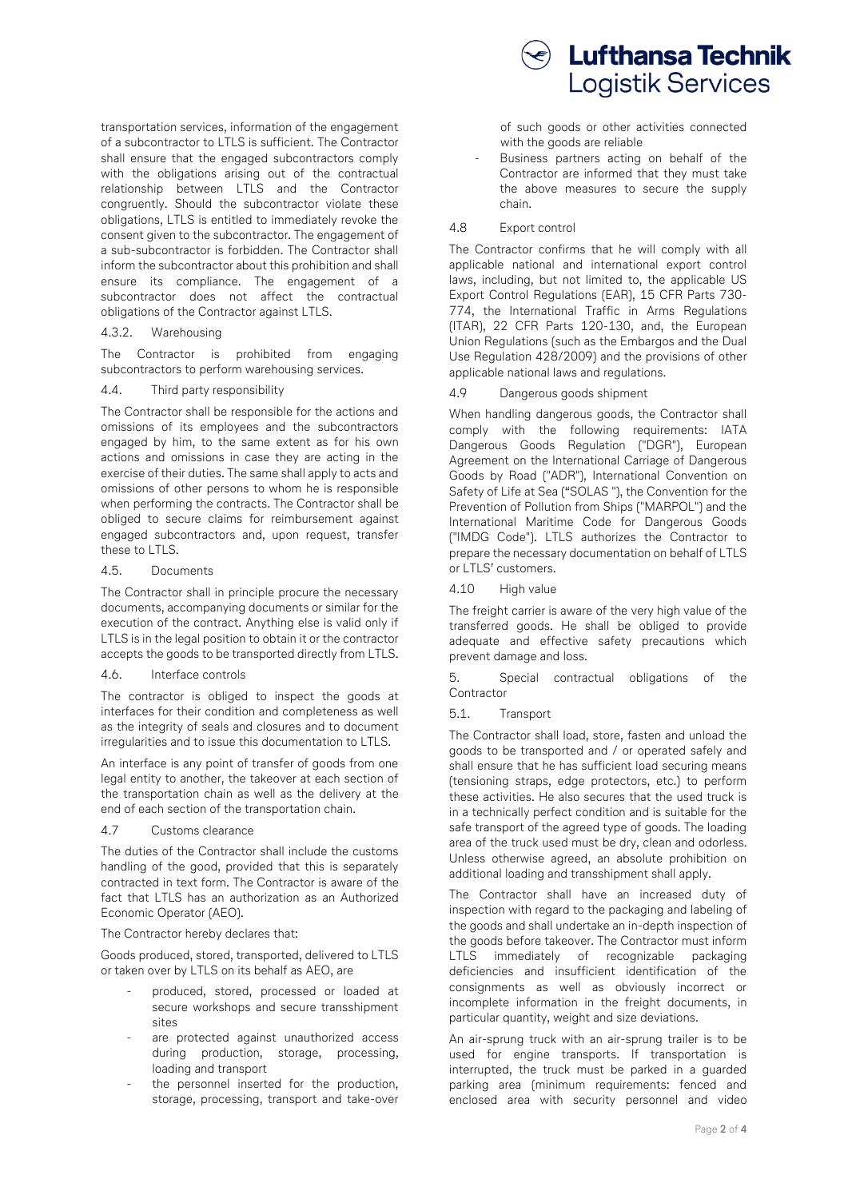transportation services, information of the engagement of a subcontractor to LTLS is sufficient. The Contractor shall ensure that the engaged subcontractors comply with the obligations arising out of the contractual relationship between LTLS and the Contractor congruently. Should the subcontractor violate these obligations, LTLS is entitled to immediately revoke the consent given to the subcontractor. The engagement of a sub-subcontractor is forbidden. The Contractor shall inform the subcontractor about this prohibition and shall ensure its compliance. The engagement of a subcontractor does not affect the contractual obligations of the Contractor against LTLS.

4.3.2. Warehousing

The Contractor is prohibited from engaging subcontractors to perform warehousing services.

#### 4.4. Third party responsibility

The Contractor shall be responsible for the actions and omissions of its employees and the subcontractors engaged by him, to the same extent as for his own actions and omissions in case they are acting in the exercise of their duties. The same shall apply to acts and omissions of other persons to whom he is responsible when performing the contracts. The Contractor shall be obliged to secure claims for reimbursement against engaged subcontractors and, upon request, transfer these to LTLS.

#### 4.5. Documents

The Contractor shall in principle procure the necessary documents, accompanying documents or similar for the execution of the contract. Anything else is valid only if LTLS is in the legal position to obtain it or the contractor accepts the goods to be transported directly from LTLS.

## 4.6. Interface controls

The contractor is obliged to inspect the goods at interfaces for their condition and completeness as well as the integrity of seals and closures and to document irregularities and to issue this documentation to LTLS.

An interface is any point of transfer of goods from one legal entity to another, the takeover at each section of the transportation chain as well as the delivery at the end of each section of the transportation chain.

#### 4.7 Customs clearance

The duties of the Contractor shall include the customs handling of the good, provided that this is separately contracted in text form. The Contractor is aware of the fact that LTLS has an authorization as an Authorized Economic Operator (AEO).

#### The Contractor hereby declares that:

Goods produced, stored, transported, delivered to LTLS or taken over by LTLS on its behalf as AEO, are

- produced, stored, processed or loaded at secure workshops and secure transshipment sites
- are protected against unauthorized access during production, storage, processing, loading and transport
- the personnel inserted for the production. storage, processing, transport and take-over



of such goods or other activities connected with the goods are reliable

Business partners acting on behalf of the Contractor are informed that they must take the above measures to secure the supply chain.

#### 4.8 Export control

The Contractor confirms that he will comply with all applicable national and international export control laws, including, but not limited to, the applicable US Export Control Regulations (EAR), 15 CFR Parts 730- 774, the International Traffic in Arms Regulations (ITAR), 22 CFR Parts 120-130, and, the European Union Regulations (such as the Embargos and the Dual Use Regulation 428/2009) and the provisions of other applicable national laws and regulations.

4.9 Dangerous goods shipment

When handling dangerous goods, the Contractor shall comply with the following requirements: IATA Dangerous Goods Regulation ("DGR"), European Agreement on the International Carriage of Dangerous Goods by Road ("ADR"), International Convention on Safety of Life at Sea ("SOLAS "), the Convention for the Prevention of Pollution from Ships ("MARPOL") and the International Maritime Code for Dangerous Goods ("IMDG Code"). LTLS authorizes the Contractor to prepare the necessary documentation on behalf of LTLS or LTLS' customers.

4.10 High value

The freight carrier is aware of the very high value of the transferred goods. He shall be obliged to provide adequate and effective safety precautions which prevent damage and loss.

5. Special contractual obligations of the **Contractor** 

5.1. Transport

The Contractor shall load, store, fasten and unload the goods to be transported and / or operated safely and shall ensure that he has sufficient load securing means (tensioning straps, edge protectors, etc.) to perform these activities. He also secures that the used truck is in a technically perfect condition and is suitable for the safe transport of the agreed type of goods. The loading area of the truck used must be dry, clean and odorless. Unless otherwise agreed, an absolute prohibition on additional loading and transshipment shall apply.

The Contractor shall have an increased duty of inspection with regard to the packaging and labeling of the goods and shall undertake an in-depth inspection of the goods before takeover. The Contractor must inform LTLS immediately of recognizable packaging deficiencies and insufficient identification of the consignments as well as obviously incorrect or incomplete information in the freight documents, in particular quantity, weight and size deviations.

An air-sprung truck with an air-sprung trailer is to be used for engine transports. If transportation is interrupted, the truck must be parked in a guarded parking area (minimum requirements: fenced and enclosed area with security personnel and video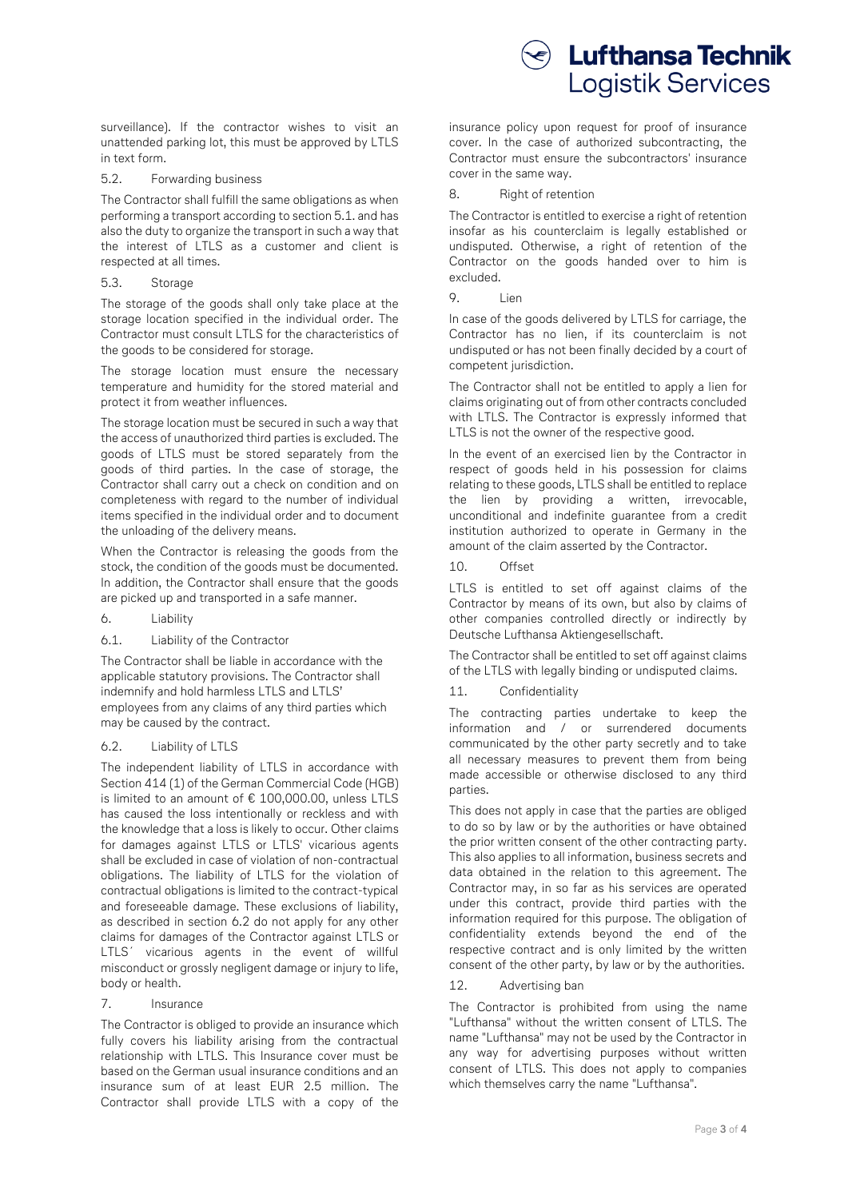surveillance). If the contractor wishes to visit an unattended parking lot, this must be approved by LTLS in text form.

## 5.2. Forwarding business

The Contractor shall fulfill the same obligations as when performing a transport according to section 5.1. and has also the duty to organize the transport in such a way that the interest of LTLS as a customer and client is respected at all times.

#### 5.3. Storage

The storage of the goods shall only take place at the storage location specified in the individual order. The Contractor must consult LTLS for the characteristics of the goods to be considered for storage.

The storage location must ensure the necessary temperature and humidity for the stored material and protect it from weather influences.

The storage location must be secured in such a way that the access of unauthorized third parties is excluded. The goods of LTLS must be stored separately from the goods of third parties. In the case of storage, the Contractor shall carry out a check on condition and on completeness with regard to the number of individual items specified in the individual order and to document the unloading of the delivery means.

When the Contractor is releasing the goods from the stock, the condition of the goods must be documented. In addition, the Contractor shall ensure that the goods are picked up and transported in a safe manner.

- 6. Liability
- 6.1. Liability of the Contractor

The Contractor shall be liable in accordance with the applicable statutory provisions. The Contractor shall indemnify and hold harmless LTLS and LTLS' employees from any claims of any third parties which may be caused by the contract.

## 6.2. Liability of LTLS

The independent liability of LTLS in accordance with Section 414 (1) of the German Commercial Code (HGB) is limited to an amount of € 100,000.00, unless LTLS has caused the loss intentionally or reckless and with the knowledge that a loss is likely to occur. Other claims for damages against LTLS or LTLS' vicarious agents shall be excluded in case of violation of non-contractual obligations. The liability of LTLS for the violation of contractual obligations is limited to the contract-typical and foreseeable damage. These exclusions of liability, as described in section 6.2 do not apply for any other claims for damages of the Contractor against LTLS or LTLS' vicarious agents in the event of willful misconduct or grossly negligent damage or injury to life, body or health.

# 7. Insurance

The Contractor is obliged to provide an insurance which fully covers his liability arising from the contractual relationship with LTLS. This Insurance cover must be based on the German usual insurance conditions and an insurance sum of at least EUR 2.5 million. The Contractor shall provide LTLS with a copy of the



insurance policy upon request for proof of insurance cover. In the case of authorized subcontracting, the Contractor must ensure the subcontractors' insurance cover in the same way.

8. Right of retention

The Contractor is entitled to exercise a right of retention insofar as his counterclaim is legally established or undisputed. Otherwise, a right of retention of the Contractor on the goods handed over to him is excluded.

0 lien

In case of the goods delivered by LTLS for carriage, the Contractor has no lien, if its counterclaim is not undisputed or has not been finally decided by a court of competent jurisdiction.

The Contractor shall not be entitled to apply a lien for claims originating out of from other contracts concluded with LTLS. The Contractor is expressly informed that LTLS is not the owner of the respective good.

In the event of an exercised lien by the Contractor in respect of goods held in his possession for claims relating to these goods, LTLS shall be entitled to replace the lien by providing a written, irrevocable, unconditional and indefinite guarantee from a credit institution authorized to operate in Germany in the amount of the claim asserted by the Contractor.

10. Offset

LTLS is entitled to set off against claims of the Contractor by means of its own, but also by claims of other companies controlled directly or indirectly by Deutsche Lufthansa Aktiengesellschaft.

The Contractor shall be entitled to set off against claims of the LTLS with legally binding or undisputed claims.

## 11. Confidentiality

The contracting parties undertake to keep the information and / or surrendered documents communicated by the other party secretly and to take all necessary measures to prevent them from being made accessible or otherwise disclosed to any third parties.

This does not apply in case that the parties are obliged to do so by law or by the authorities or have obtained the prior written consent of the other contracting party. This also applies to all information, business secrets and data obtained in the relation to this agreement. The Contractor may, in so far as his services are operated under this contract, provide third parties with the information required for this purpose. The obligation of confidentiality extends beyond the end of the respective contract and is only limited by the written consent of the other party, by law or by the authorities.

## 12. Advertising ban

The Contractor is prohibited from using the name "Lufthansa" without the written consent of LTLS. The name "Lufthansa" may not be used by the Contractor in any way for advertising purposes without written consent of LTLS. This does not apply to companies which themselves carry the name "Lufthansa".